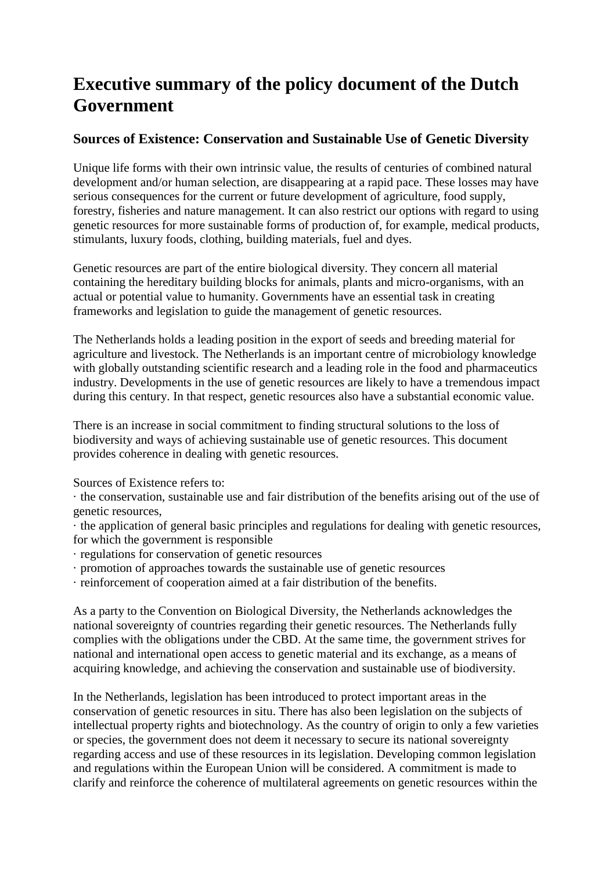## **Executive summary of the policy document of the Dutch Government**

## **Sources of Existence: Conservation and Sustainable Use of Genetic Diversity**

Unique life forms with their own intrinsic value, the results of centuries of combined natural development and/or human selection, are disappearing at a rapid pace. These losses may have serious consequences for the current or future development of agriculture, food supply, forestry, fisheries and nature management. It can also restrict our options with regard to using genetic resources for more sustainable forms of production of, for example, medical products, stimulants, luxury foods, clothing, building materials, fuel and dyes.

Genetic resources are part of the entire biological diversity. They concern all material containing the hereditary building blocks for animals, plants and micro-organisms, with an actual or potential value to humanity. Governments have an essential task in creating frameworks and legislation to guide the management of genetic resources.

The Netherlands holds a leading position in the export of seeds and breeding material for agriculture and livestock. The Netherlands is an important centre of microbiology knowledge with globally outstanding scientific research and a leading role in the food and pharmaceutics industry. Developments in the use of genetic resources are likely to have a tremendous impact during this century. In that respect, genetic resources also have a substantial economic value.

There is an increase in social commitment to finding structural solutions to the loss of biodiversity and ways of achieving sustainable use of genetic resources. This document provides coherence in dealing with genetic resources.

Sources of Existence refers to:

· the conservation, sustainable use and fair distribution of the benefits arising out of the use of genetic resources,

· the application of general basic principles and regulations for dealing with genetic resources, for which the government is responsible

- · regulations for conservation of genetic resources
- · promotion of approaches towards the sustainable use of genetic resources

· reinforcement of cooperation aimed at a fair distribution of the benefits.

As a party to the Convention on Biological Diversity, the Netherlands acknowledges the national sovereignty of countries regarding their genetic resources. The Netherlands fully complies with the obligations under the CBD. At the same time, the government strives for national and international open access to genetic material and its exchange, as a means of acquiring knowledge, and achieving the conservation and sustainable use of biodiversity.

In the Netherlands, legislation has been introduced to protect important areas in the conservation of genetic resources in situ. There has also been legislation on the subjects of intellectual property rights and biotechnology. As the country of origin to only a few varieties or species, the government does not deem it necessary to secure its national sovereignty regarding access and use of these resources in its legislation. Developing common legislation and regulations within the European Union will be considered. A commitment is made to clarify and reinforce the coherence of multilateral agreements on genetic resources within the